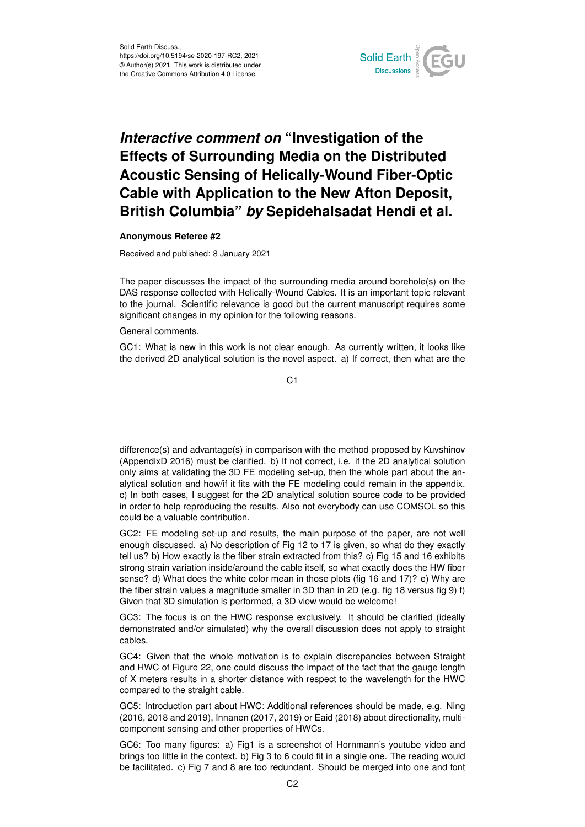

## *Interactive comment on* **"Investigation of the Effects of Surrounding Media on the Distributed Acoustic Sensing of Helically-Wound Fiber-Optic Cable with Application to the New Afton Deposit, British Columbia"** *by* **Sepidehalsadat Hendi et al.**

## **Anonymous Referee #2**

Received and published: 8 January 2021

The paper discusses the impact of the surrounding media around borehole(s) on the DAS response collected with Helically-Wound Cables. It is an important topic relevant to the journal. Scientific relevance is good but the current manuscript requires some significant changes in my opinion for the following reasons.

General comments.

GC1: What is new in this work is not clear enough. As currently written, it looks like the derived 2D analytical solution is the novel aspect. a) If correct, then what are the

 $C<sub>1</sub>$ 

difference(s) and advantage(s) in comparison with the method proposed by Kuvshinov (AppendixD 2016) must be clarified. b) If not correct, i.e. if the 2D analytical solution only aims at validating the 3D FE modeling set-up, then the whole part about the analytical solution and how/if it fits with the FE modeling could remain in the appendix. c) In both cases, I suggest for the 2D analytical solution source code to be provided in order to help reproducing the results. Also not everybody can use COMSOL so this could be a valuable contribution.

GC2: FE modeling set-up and results, the main purpose of the paper, are not well enough discussed. a) No description of Fig 12 to 17 is given, so what do they exactly tell us? b) How exactly is the fiber strain extracted from this? c) Fig 15 and 16 exhibits strong strain variation inside/around the cable itself, so what exactly does the HW fiber sense? d) What does the white color mean in those plots (fig 16 and 17)? e) Why are the fiber strain values a magnitude smaller in 3D than in 2D (e.g. fig 18 versus fig 9) f) Given that 3D simulation is performed, a 3D view would be welcome!

GC3: The focus is on the HWC response exclusively. It should be clarified (ideally demonstrated and/or simulated) why the overall discussion does not apply to straight cables.

GC4: Given that the whole motivation is to explain discrepancies between Straight and HWC of Figure 22, one could discuss the impact of the fact that the gauge length of X meters results in a shorter distance with respect to the wavelength for the HWC compared to the straight cable.

GC5: Introduction part about HWC: Additional references should be made, e.g. Ning (2016, 2018 and 2019), Innanen (2017, 2019) or Eaid (2018) about directionality, multicomponent sensing and other properties of HWCs.

GC6: Too many figures: a) Fig1 is a screenshot of Hornmann's youtube video and brings too little in the context. b) Fig 3 to 6 could fit in a single one. The reading would be facilitated. c) Fig 7 and 8 are too redundant. Should be merged into one and font